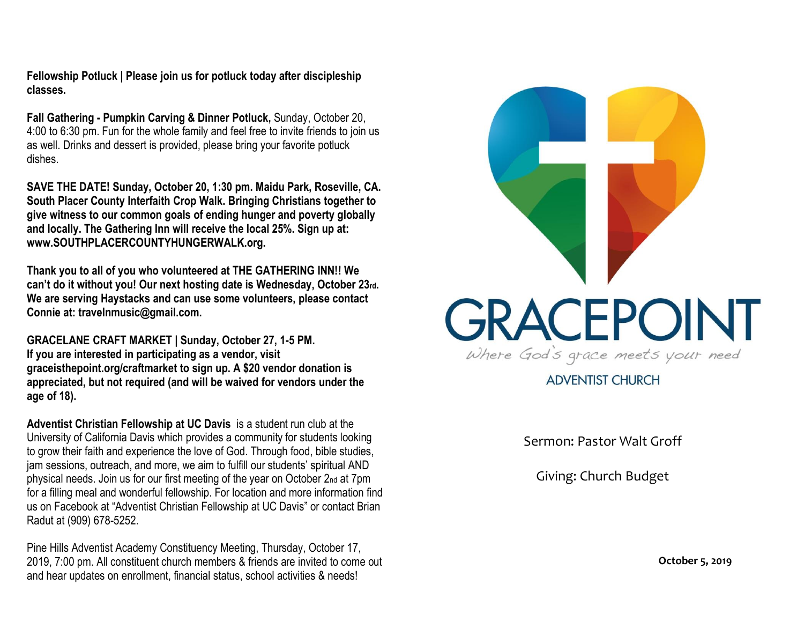**Fellowship Potluck | Please join us for potluck today after discipleship classes.**

**Fall Gathering - Pumpkin Carving & Dinner Potluck,** Sunday, October 20, 4:00 to 6:30 pm. Fun for the whole family and feel free to invite friends to join us as well. Drinks and dessert is provided, please bring your favorite potluck dishes.

**SAVE THE DATE! Sunday, October 20, 1:30 pm. Maidu Park, Roseville, CA. South Placer County Interfaith Crop Walk. Bringing Christians together to give witness to our common goals of ending hunger and poverty globally and locally. The Gathering Inn will receive the local 25%. Sign up at: www.SOUTHPLACERCOUNTYHUNGERWALK.org.**

**Thank you to all of you who volunteered at THE GATHERING INN!! We can't do it without you! Our next hosting date is Wednesday, October 23rd. We are serving Haystacks and can use some volunteers, please contact Connie at: travelnmusic@gmail.com.**

**GRACELANE CRAFT MARKET | Sunday, October 27, 1-5 PM. If you are interested in participating as a vendor, visit graceisthepoint.org/craftmarket to sign up. A \$20 vendor donation is appreciated, but not required (and will be waived for vendors under the age of 18).**

**Adventist Christian Fellowship at UC Davis** is a student run club at the University of California Davis which provides a community for students looking to grow their faith and experience the love of God. Through food, bible studies, jam sessions, outreach, and more, we aim to fulfill our students' spiritual AND physical needs. Join us for our first meeting of the year on October 2nd at 7pm for a filling meal and wonderful fellowship. For location and more information find us on Facebook at "Adventist Christian Fellowship at UC Davis" or contact Brian Radut at (909) 678-5252.

Pine Hills Adventist Academy Constituency Meeting, Thursday, October 17, 2019, 7:00 pm. All constituent church members & friends are invited to come out and hear updates on enrollment, financial status, school activities & needs!



**ADVENTIST CHURCH** 

Sermon: Pastor Walt Groff

Giving: Church Budget